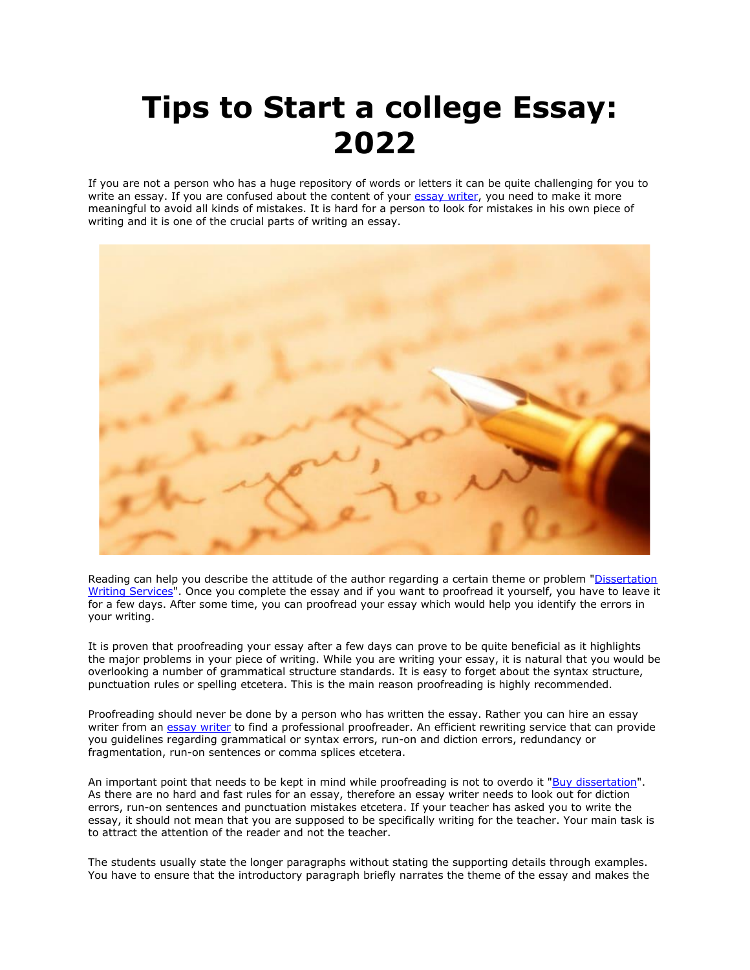## **Tips to Start a college Essay: 2022**

If you are not a person who has a huge repository of words or letters it can be quite challenging for you to write an essay. If you are confused about the content of your [essay writer,](https://essayhours.com/) you need to make it more meaningful to avoid all kinds of mistakes. It is hard for a person to look for mistakes in his own piece of writing and it is one of the crucial parts of writing an essay.



Reading can help you describe the attitude of the author regarding a certain theme or problem ["Dissertation](https://gradschoolgenius.com/)  [Writing Services"](https://gradschoolgenius.com/). Once you complete the essay and if you want to proofread it yourself, you have to leave it for a few days. After some time, you can proofread your essay which would help you identify the errors in your writing.

It is proven that proofreading your essay after a few days can prove to be quite beneficial as it highlights the major problems in your piece of writing. While you are writing your essay, it is natural that you would be overlooking a number of grammatical structure standards. It is easy to forget about the syntax structure, punctuation rules or spelling etcetera. This is the main reason proofreading is highly recommended.

Proofreading should never be done by a person who has written the essay. Rather you can hire an essay writer from an [essay writer](https://www.freeessaywriter.net/) to find a professional proofreader. An efficient rewriting service that can provide you guidelines regarding grammatical or syntax errors, run-on and diction errors, redundancy or fragmentation, run-on sentences or comma splices etcetera.

An important point that needs to be kept in mind while proofreading is not to overdo it ["Buy dissertation"](https://gradschoolgenius.com/). As there are no hard and fast rules for an essay, therefore an essay writer needs to look out for diction errors, run-on sentences and punctuation mistakes etcetera. If your teacher has asked you to write the essay, it should not mean that you are supposed to be specifically writing for the teacher. Your main task is to attract the attention of the reader and not the teacher.

The students usually state the longer paragraphs without stating the supporting details through examples. You have to ensure that the introductory paragraph briefly narrates the theme of the essay and makes the